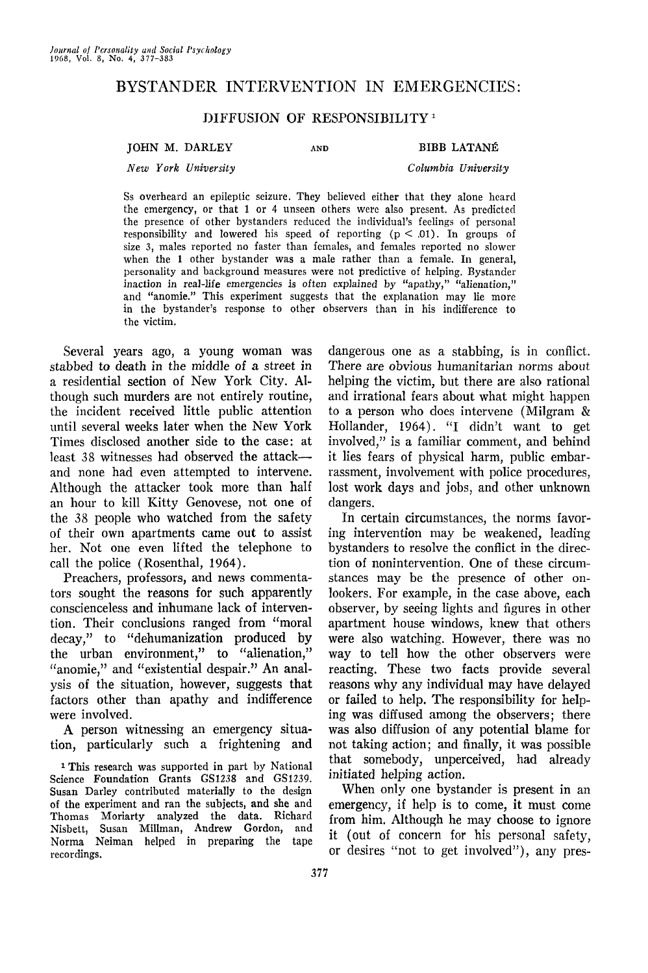# BYSTANDER INTERVENTION IN EMERGENCIES:

## DIFFUSION OF RESPONSIBILITY<sup>1</sup>

JOHN M. DARLEY

AND

#### **BIBB LATANÉ**

*New York University*

*Columbia University*

Ss overheard an epileptic seizure. They believed either that they alone heard the emergency, or that 1 or 4 unseen others were also present. As predicted the presence of other bystanders reduced the individual's feelings of personal responsibility and lowered his speed of reporting  $(p < .01)$ . In groups of size 3, males reported no faster than females, and females reported no slower when the 1 other bystander was a male rather than a female. In general, personality and background measures were not predictive of helping. Bystander inaction in real-life emergencies is often explained by "apathy," "alienation," and "anomie." This experiment suggests that the explanation may lie more in the bystander's response to other observers than in his indifference to the victim.

Several years ago, a young woman was stabbed to death in the middle of a street in a residential section of New York City. Although such murders are not entirely routine, the incident received little public attention until several weeks later when the New York Times disclosed another side to the case: at least 38 witnesses had observed the attack and none had even attempted to intervene. Although the attacker took more than half an hour to kill Kitty Genovese, not one of the 38 people who watched from the safety of their own apartments came out to assist her. Not one even lifted the telephone to call the police (Rosenthal, 1964).

Preachers, professors, and news commentators sought the reasons for such apparently conscienceless and inhumane lack of intervention. Their conclusions ranged from "moral decay," to "dehumanization produced by the urban environment," to "alienation," "anomie," and "existential despair." An analysis of the situation, however, suggests that factors other than apathy and indifference were involved.

A person witnessing an emergency situation, particularly such a frightening and

1 This research was supported in part by National Science Foundation Grants GS1238 and GS1239. Susan Darley contributed materially to the design of the experiment and ran the subjects, and she and Thomas Moriarty analyzed the data. Richard Nisbett, Susan Millman, Andrew Gordon, and Norma Neiman helped in preparing the tape recordings.

dangerous one as a stabbing, is in conflict. There are obvious humanitarian norms about helping the victim, but there are also rational and irrational fears about what might happen to a person who does intervene (Milgram & Hollander, 1964). "I didn't want to get involved," is a familiar comment, and behind it lies fears of physical harm, public embarrassment, involvement with police procedures, lost work days and jobs, and other unknown dangers.

In certain circumstances, the norms favoring intervention may be weakened, leading bystanders to resolve the conflict in the direction of nonintervention. One of these circumstances may be the presence of other onlookers. For example, in the case above, each observer, by seeing lights and figures in other apartment house windows, knew that others were also watching. However, there was no way to tell how the other observers were reacting. These two facts provide several reasons why any individual may have delayed or failed to help. The responsibility for helping was diffused among the observers; there was also diffusion of any potential blame for not taking action; and finally, it was possible that somebody, unperceived, had already initiated helping action.

When only one bystander is present in an emergency, if help is to come, it must come from him. Although he may choose to ignore it (out of concern for his personal safety, or desires "not to get involved"), any pres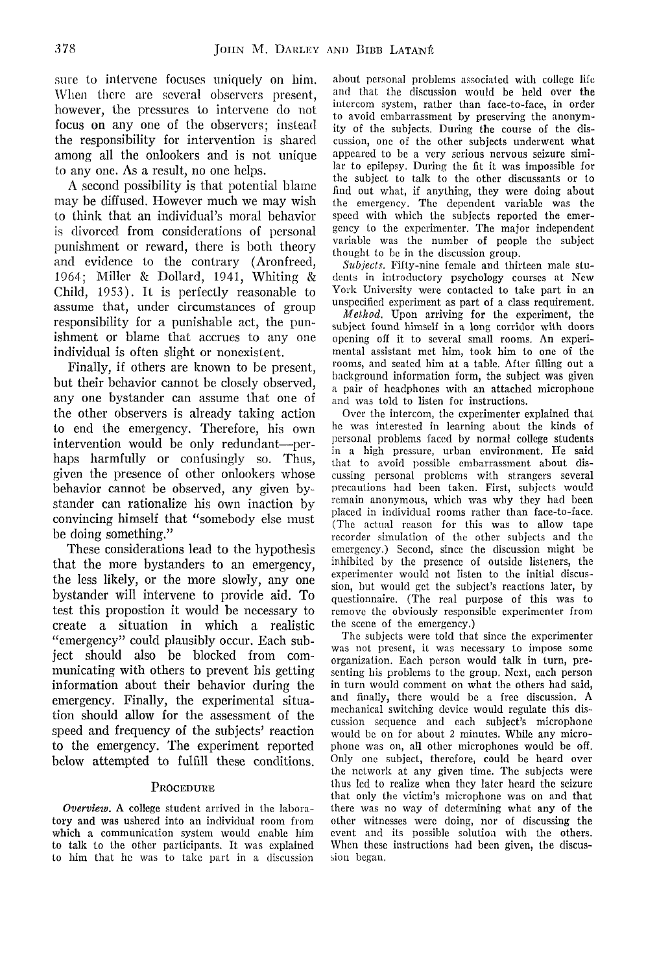sure to intervene focuses uniquely on him. When there are several observers present, however, the pressures to intervene do not focus on any one of the observers; instead the responsibility for intervention is shared among all the onlookers and is not unique to any one. As a result, no one helps.

A second possibility is that potential blame may be diffused. However much we may wish to think that an individual's moral behavior is divorced from considerations of personal punishment or reward, there is both theory and evidence to the contrary (Aronfreed, 1964; Miller & Bollard, 1941, Whiting & Child, 19S3). It is perfectly reasonable to assume that, under circumstances of group responsibility for a punishable act, the punishment or blame that accrues to any one individual is often slight or nonexistent.

Finally, if others are known to be present, but their behavior cannot be closely observed, any one bystander can assume that one of the other observers is already taking action to end the emergency. Therefore, his own intervention would be only redundant—perhaps harmfully or confusingly so. Thus, given the presence of other onlookers whose behavior cannot be observed, any given bystander can rationalize his own inaction by convincing himself that "somebody else must be doing something."

These considerations lead to the hypothesis that the more bystanders to an emergency, the less likely, or the more slowly, any one bystander will intervene to provide aid. To test this propostion it would be necessary to create a situation in which a realistic "emergency" could plausibly occur. Each subject should also be blocked from communicating with others to prevent his getting information about their behavior during the emergency. Finally, the experimental situation should allow for the assessment of the speed and frequency of the subjects' reaction to the emergency. The experiment reported below attempted to fulfill these conditions.

### **PROCEDURE**

*Overview.* A college student arrived in the laboratory and was ushered into an individual room from which a communication system would enable him to talk to the other participants. It was explained to him that he was to take part in a discussion about personal problems associated with college life and that the discussion would be held over the intercom system, rather than face-to-face, in order to avoid embarrassment by preserving the anonymity of the subjects. During the course of the discussion, one of the other subjects underwent what appeared to be a very serious nervous seizure similar to epilepsy. During the fit it was impossible for the subject to talk to the other discussants or to find out what, if anything, they were doing about the emergency. The dependent variable was the speed with which the subjects reported the emergency to the experimenter. The major independent variable was the number of people the subject thought to be in the discussion group.

*Subjects.* Fifty-nine female and thirteen male students in introductory psychology courses at New York University were contacted to take part in an unspecified experiment as part of a class requirement.

*Method.* Upon arriving for the experiment, the subject found himself in a long corridor with doors opening off it to several small rooms. An experimental assistant met him, took him to one of the rooms, and seated him at a table. After filling out a background information form, the subject was given a pair of headphones with an attached microphone and was told to listen for instructions.

Over the intercom, the experimenter explained that he was interested in learning about the kinds of personal problems faced by normal college students in a high pressure, urban environment. He said that to avoid possible embarrassment about discussing personal problems with strangers several precautions had been taken. First, subjects would remain anonymous, which was why they had been placed in individual rooms rather than face-to-face. (The actual reason for this was to allow tape recorder simulation of the other subjects and the emergency.) Second, since the discussion might be inhibited by the presence of outside listeners, the experimenter would not listen to the initial discussion, but would get the subject's reactions later, by questionnaire. (The real purpose of this was to remove the obviously responsible experimenter from the scene of the emergency.)

The subjects were told that since the experimenter was not present, it was necessary to impose some organization. Each person would talk in turn, presenting his problems to the group. Next, each person in turn would comment on what the others had said, and finally, there would be a free discussion. A mechanical switching device would regulate this discussion sequence and each subject's microphone would be on for about 2 minutes. While any microphone was on, all other microphones would be off. Only one subject, therefore, could be heard over the network at any given time. The subjects were thus led to realize when they later heard the seizure that only the victim's microphone was on and that there was no way of determining what any of the other witnesses were doing, nor of discussing the event and its possible solution with the others. When these instructions had been given, the discussion began.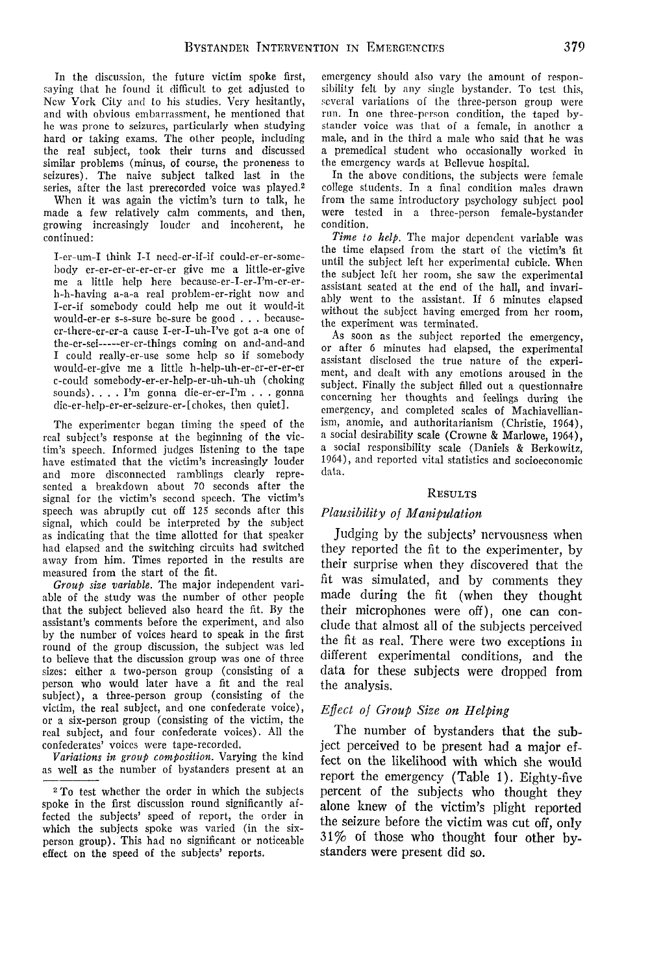In the discussion, the future victim spoke first, saying that he found it difficult to get adjusted to New York City and lo his studies. Very hesitantly, and with obvious embarrassment, he mentioned that he was prone to seizures, particularly when studying hard or taking exams. The other people, including the real subject, took their turns and discussed similar problems (minus, of course, the proneness to seizures). The naive subject talked last in the series, after the last prerecorded voice was played.<sup>2</sup>

When it was again the victim's turn to talk, he made a few relatively calm comments, and then, growing increasingly louder and incoherent, he continued:

I-er-um-I think I-I necd-er-if-if could-er-er-somebody er-er-er-er-er-er-er give me a liltle-er-give me a little help here because-er-I-er-I'm-er-erh-h-having a-a-a real problcm-er-right now and I-er-if somebody could help me out it would-it would-er-er s-s-sure be-sure be good . . . becausecr-there-er-cr-a cause I-er-I-uh-I've got a-a one of the-er-sei------er-cr-things coming on and-and-and I could really-er-use some help so if somebody would-er-give me a little h-help-uh-er-er-er-er-er c-could somebody-er-er-help-er-uh-uh-uh (choking sounds). . . . I'm gonna die-er-er-I'm . . . gonna die-er-help-er-er-seizure-er-[chokes, then quiet].

The experimenter began timing the speed of the real subject's response at the beginning of the victim's speech. Informed judges listening to the tape have estimated that the victim's increasingly louder and more disconnected ramblings clearly represented a breakdown about 70 seconds after the signal for the victim's second speech. The victim's speech was abruptly cut off  $125$  seconds after this signal, which could be interpreted by the subject as indicating that the time allotted for that speaker had elapsed and the switching circuits had switched away from him. Times reported in the results are measured from the start of the fit.

*Group size variable.* The major independent variable of the study was the number of other people that the subject believed also heard the fit. By the assistant's comments before the experiment, and also by the number of voices heard to speak in the first round of the group discussion, the subject was led lo believe that the discussion group was one of three sizes: either a two-person group (consisting of a person who would later have a fit and the real subject), a three-person group (consisting of the victim, the real subject, and one confederate voice), or a six-person group (consisting of the victim, the real subject, and four confederate voices). All the confederates' voices were tape-recorded.

*Variations in group composition.* Varying the kind as well as the number of bystanders present at an

emergency should also vary the amount of responsibility felt by any single bystander. To test this, several variations of the three-person group were run. In one three-person condition, the taped bystander voice was that of a female, in another a male, and in the third a male who said that he was a premedical student who occasionally worked in the emergency wards at Bellevue hospital.

In the above conditions, the subjects were female college students. In a final condition males drawn from the same introductory psychology subject pool were tested in a three-person female-bystander condition.

*Time to help.* The major dependent variable was the time elapsed from the start of the victim's fit until the subject left her experimental cubicle. When the subject left her room, she saw the experimental assistant seated at the end of the hall, and invariably went to the assistant. If 6 minutes elapsed without the subject having emerged from her room, the experiment was terminated.

As soon as the subject reported the emergency, or after 6 minutes had elapsed, the experimental assistant disclosed the true nature of the experiment, and dealt with any emotions aroused in the subject. Finally the subject filled out a questionnaire concerning her thoughts and feelings during the emergency, and completed scales of Machiavellianism, anomie, and authoritarianism (Christie, 1964), a social desirability scale (Crowne & Marlowe, 1964), a social responsibility scale (Daniels & Berkowitz, 1964), and reported vital statistics and socioeconomic data.

#### RESULTS

#### *Plausibility of Manipulation*

Judging by the subjects' nervousness when they reported the fit to the experimenter, by their surprise when they discovered that the fit was simulated, and by comments they made during the fit (when they thought their microphones were off), one can conclude that almost all of the subjects perceived the fit as real. There were two exceptions in different experimental conditions, and the data for these subjects were dropped from the analysis.

## *Effect of Group Size on Helping*

The number of bystanders that the subject perceived to be present had a major effect on the likelihood with which she would report the emergency (Table 1). Eighty-five percent of the subjects who thought they alone knew of the victim's plight reported the seizure before the victim was cut off, only *31%* of those who thought four other bystanders were present did so.

<sup>2</sup> To test whether the order in which the subjects spoke in the first discussion round significantly affected the subjects' speed of report, the order in which the subjects spoke was varied (in the sixperson group). This had no significant or noticeable effect on the speed of the subjects' reports.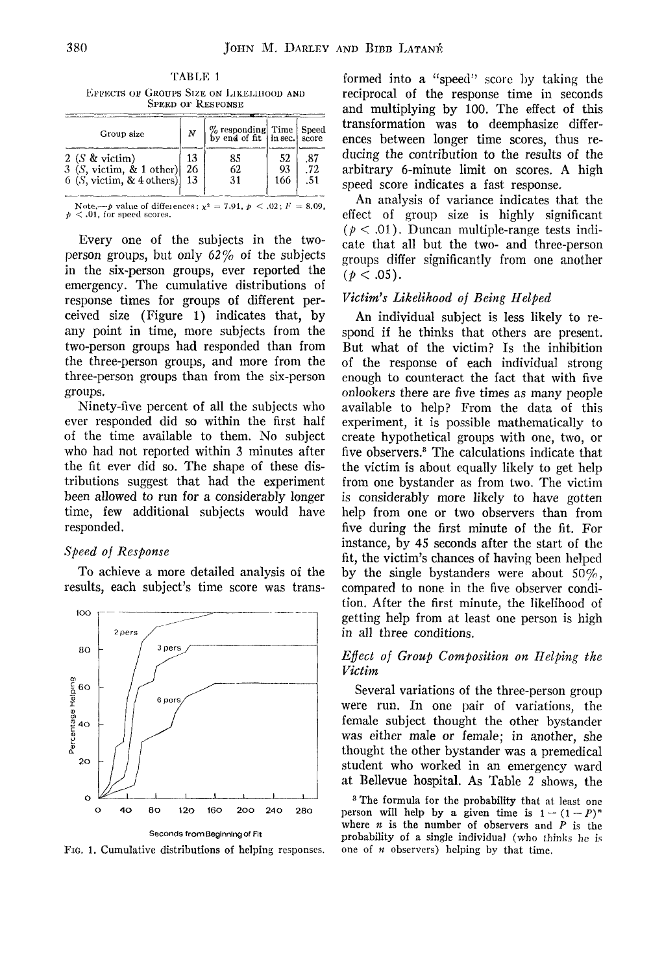TABLE 1 **EFFECTS OF GROUPS SIZE ON LIKELIHOOD AND** SPEED or RESPONSE

| Group size                                                                                                                               | N         | $\%$ responding Time Speed<br>by end of fit in sec. score |                 |                   |
|------------------------------------------------------------------------------------------------------------------------------------------|-----------|-----------------------------------------------------------|-----------------|-------------------|
| $2(S &$ victim)<br>$3 \left( S, \text{ victim}, \& 1 \text{ other} \right)$<br>6 $\left( S, \text{ victim}, \& 4 \text{ others} \right)$ | 26<br>-13 | 85<br>62<br>31                                            | 52<br>93<br>166 | .87<br>-72<br>.51 |

Note, *p* value of differences:  $\chi^2 = 7.91$ ,  $p < .02$ ;  $F = 8.09$  $p < 0.01$ , for speed scores.

Every one of the subjects in the twoperson groups, but only 62% of the subjects in the six-person groups, ever reported the emergency. The cumulative distributions of response times for groups of different perceived size (Figure 1) indicates that, by any point in time, more subjects from the two-person groups had responded than from the three-person groups, and more from the three-person groups than from the six-person groups.

Ninety-five percent of all the subjects who ever responded did so within the first half of the time available to them. No subject who had not reported within 3 minutes after the fit ever did so. The shape of these distributions suggest that had the experiment been allowed to run for a considerably longer time, few additional subjects would have responded.

#### *Speed of Response*

To achieve a more detailed analysis of the results, each subject's time score was trans-



FIG. 1. Cumulative distributions of helping responses.

formed into a "speed" score by taking the reciprocal of the response time in seconds and multiplying by 100. The effect of this transformation was to deemphasize differences between longer time scores, thus reducing the contribution to the results of the arbitrary 6-minute limit on scores. A high speed score indicates a fast response.

An analysis of variance indicates that the effect of group size is highly significant  $(p < .01)$ . Duncan multiple-range tests indicate that all but the two- and three-person groups differ significantly from one another  $(p < .05)$ .

#### *Victim's Likelihood of Being Helped*

An individual subject is less likely to respond if he thinks that others are present. But what of the victim? Is the inhibition of the response of each individual strong enough to counteract the fact that with five onlookers there are five times as many people available to help? From the data of this experiment, it is possible mathematically to create hypothetical groups with one, two, or five observers.<sup>8</sup> The calculations indicate that the victim is about equally likely to get help from one bystander as from two. The victim is considerably more likely to have gotten help from one or two observers than from five during the first minute of the fit. For instance, by 45 seconds after the start of the fit, the victim's chances of having been helped by the single bystanders were about *50%,* compared to none in the five observer condition. After the first minute, the likelihood of getting help from at least one person is high in all three conditions.

## *Effect of Group Composition on Helping the Victim*

Several variations of the three-person group were run. In one pair of variations, the female subject thought the other bystander was either male or female; in another, she thought the other bystander was a premedical student who worked in an emergency ward at Bellevue hospital. As Table 2 shows, the

<sup>3</sup> The formula for the probability that at least one person will help by a given time is  $1 - (1 - P)^n$ where *n* is the number of observers and *P* is the probability of a single individual (who thinks he is one of *n* observers) helping by that time.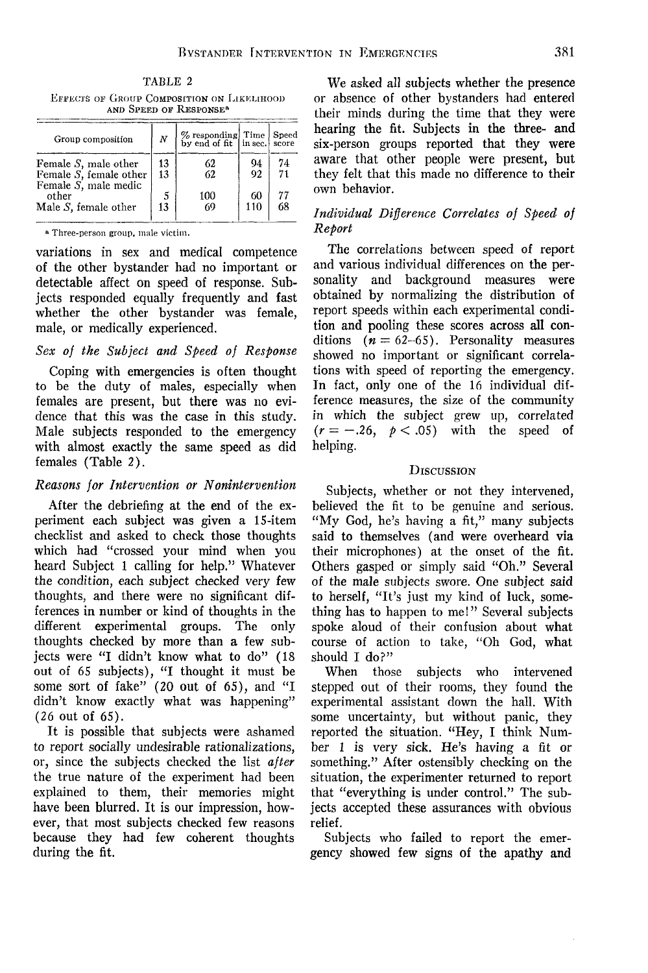TABLE 2 EFFECTS OF GROUP COMPOSITION ON LIKELIHOOD AND SPEED OF RESPONSE"

| Group composition                                                      | $\boldsymbol{N}$ | $\%$ responding Time<br>by end of fit in sec. |           | Speed<br>score |
|------------------------------------------------------------------------|------------------|-----------------------------------------------|-----------|----------------|
| Female S, male other<br>Female S, female other<br>Female S, male medic | 13<br>13         | 62<br>62                                      | 94<br>92  | 74<br>71       |
| other<br>Male S, female other                                          | 13               | 100<br>69                                     | 60<br>110 | 77<br>68       |

» Three-person group, mule victim.

variations in sex and medical competence of the other bystander had no important or detectable affect on speed of response. Subjects responded equally frequently and fast whether the other bystander was female, male, or medically experienced.

## *Sex of the Subject and Speed of Response*

Coping with emergencies is often thought to be the duty of males, especially when females are present, but there was no evidence that this was the case in this study. Male subjects responded to the emergency with almost exactly the same speed as did females (Table 2).

#### *Reasons for Intervention or Nonintervention*

After the debriefing at the end of the experiment each subject was given a 15-item checklist and asked to check those thoughts which had "crossed your mind when you heard Subject 1 calling for help." Whatever the condition, each subject checked very few thoughts, and there were no significant differences in number or kind of thoughts in the different experimental groups. The only thoughts checked by more than a few subjects were "I didn't know what to do" (18 out of 65 subjects), "I thought it must be some sort of fake" (20 out of 65), and "I didn't know exactly what was happening" (26 out of 65).

It is possible that subjects were ashamed to report socially undesirable rationalizations, or, since the subjects checked the list *after* the true nature of the experiment had been explained to them, their memories might have been blurred. It is our impression, however, that most subjects checked few reasons because they had few coherent thoughts during the fit.

We asked all subjects whether the presence or absence of other bystanders had entered their minds during the time that they were hearing the fit. Subjects in the three- and six-person groups reported that they were aware that other people were present, but they felt that this made no difference to their own behavior.

## *Individual Difference Correlates of Speed of Report*

The correlations between speed of report and various individual differences on the personality and background measures were obtained by normalizing the distribution of report speeds within each experimental condition and pooling these scores across all conditions  $(n = 62-65)$ . Personality measures showed no important or significant correlations with speed of reporting the emergency. In fact, only one of the 16 individual difference measures, the size of the community in which the subject grew up, correlated  $(r = -.26, p < .05)$  with the speed of helping.

### **DISCUSSION**

Subjects, whether or not they intervened, believed the fit to be genuine and serious. "My God, he's having a fit," many subjects said to themselves (and were overheard via their microphones) at the onset of the fit. Others gasped or simply said "Oh." Several of the male subjects swore. One subject said to herself, "It's just my kind of luck, something has to happen to me!" Several subjects spoke aloud of their confusion about what course of action to take, "Oh God, what should I do?"

When those subjects who intervened stepped out of their rooms, they found the experimental assistant down the hall. With some uncertainty, but without panic, they reported the situation. "Hey, I think Number 1 is very sick. He's having a fit or something." After ostensibly checking on the situation, the experimenter returned to report that "everything is under control." The subjects accepted these assurances with obvious relief.

Subjects who failed to report the emergency showed few signs of the apathy and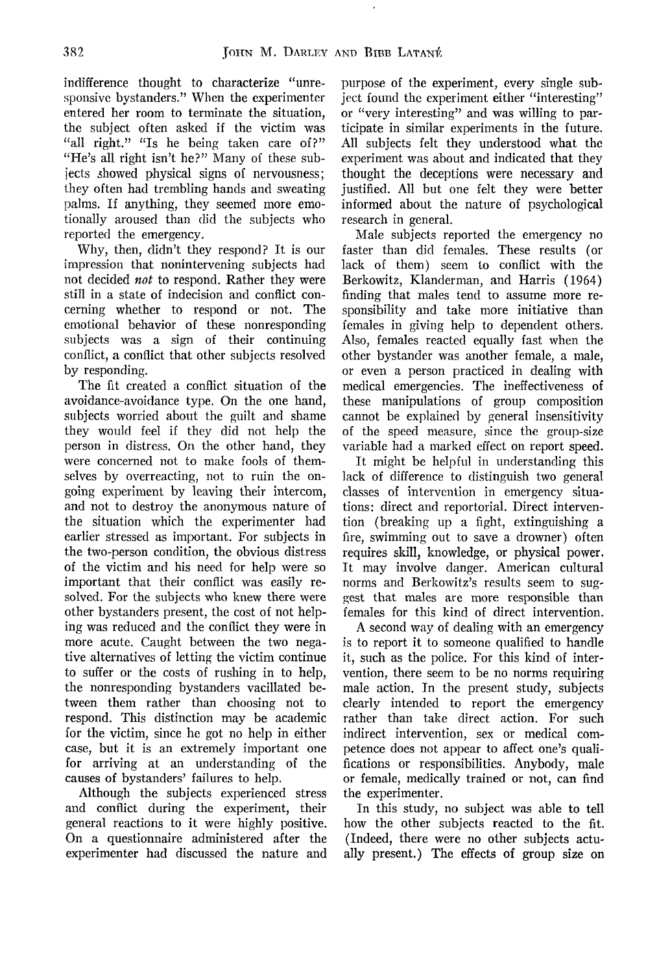indifference thought to characterize "unresponsive bystanders." When the experimenter entered her room to terminate the situation, the subject often asked if the victim was "all right." "Is he being taken care of?" "He's all right isn't he?" Many of these subjects showed physical signs of nervousness; they often had trembling hands and sweating palms. If anything, they seemed more emotionally aroused than did the subjects who reported the emergency.

Why, then, didn't they respond? It is our impression that nonintervening subjects had not decided *not* to respond. Rather they were still in a state of indecision and conflict concerning whether to respond or not. The emotional behavior of these nonresponding subjects was a sign of their continuing conflict, a conflict that other subjects resolved by responding.

The fit created a conflict situation of the avoidance-avoidance type. On the one hand, subjects worried about the guilt and shame they would feel if they did not help the person in distress. On the other hand, they were concerned not to make fools of themselves by overreacting, not to ruin the ongoing experiment by leaving their intercom, and not to destroy the anonymous nature of the situation which the experimenter had earlier stressed as important. For subjects in the two-person condition, the obvious distress of the victim and his need for help were so important that their conflict was easily resolved. For the subjects who knew there were other bystanders present, the cost of not helping was reduced and the conflict they were in more acute. Caught between the two negative alternatives of letting the victim continue to suffer or the costs of rushing in to help, the nonresponding bystanders vacillated between them rather than choosing not to respond. This distinction may be academic for the victim, since he got no help in either case, but it is an extremely important one for arriving at an understanding of the causes of bystanders' failures to help.

Although the subjects experienced stress and conflict during the experiment, their general reactions to it were highly positive. On a questionnaire administered after the experimenter had discussed the nature and

purpose of the experiment, every single subject found the experiment either "interesting" or "very interesting" and was willing to participate in similar experiments in the future. All subjects felt they understood what the experiment was about and indicated that they thought the deceptions were necessary and justified. All but one felt they were better informed about the nature of psychological research in general.

Male subjects reported the emergency no faster than did females. These results (or lack of them) seem to conflict with the Berkowitz, Klanderman, and Harris (1964) finding that males tend to assume more responsibility and take more initiative than females in giving help to dependent others. Also, females reacted equally fast when the other bystander was another female, a male, or even a person practiced in dealing with medical emergencies. The ineffectiveness of these manipulations of group composition cannot be explained by general insensitivity of the speed measure, since the group-size variable had a marked effect on report speed.

It might be helpful in understanding this lack of difference to distinguish two general classes of intervention in emergency situations: direct and reportorial. Direct intervention (breaking up a fight, extinguishing a fire, swimming out to save a drowner) often requires skill, knowledge, or physical power. It may involve danger. American cultural norms and Berkowitz's results seem to suggest that males are more responsible than females for this kind of direct intervention.

A second way of dealing with an emergency is to report it to someone qualified to handle it, such as the police. For this kind of intervention, there seem to be no norms requiring male action. In the present study, subjects clearly intended to report the emergency rather than take direct action. For such indirect intervention, sex or medical competence does not appear to affect one's qualifications or responsibilities. Anybody, male or female, medically trained or not, can find the experimenter.

In this study, no subject was able to tell how the other subjects reacted to the fit. (Indeed, there were no other subjects actually present.) The effects of group size on